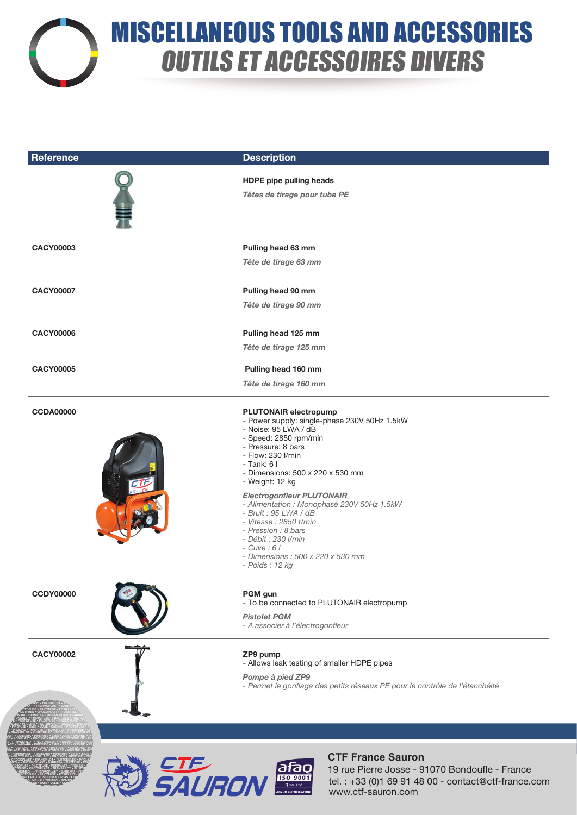

ONDINE • PROTOFUSE • PILOTFUSE • POSIPLAST • PROLINE • PIPEFUSE • PROTOFUSE • PILOTFUSE • CROCOPLAST • TRANSPILOT • PLUTONELEC • PROLINE

## MISCELLANEOUS TOOLS AND ACCESSORIES OUTILS ET ACCESSOIRES DIVERS

| <b>Reference</b> | <b>Description</b>                                                                                                                                                                                                                                       |
|------------------|----------------------------------------------------------------------------------------------------------------------------------------------------------------------------------------------------------------------------------------------------------|
|                  | <b>HDPE</b> pipe pulling heads                                                                                                                                                                                                                           |
|                  | Têtes de tirage pour tube PE                                                                                                                                                                                                                             |
| <b>CACY00003</b> | Pulling head 63 mm                                                                                                                                                                                                                                       |
|                  | Tête de tirage 63 mm                                                                                                                                                                                                                                     |
| <b>CACY00007</b> | Pulling head 90 mm                                                                                                                                                                                                                                       |
|                  | Tête de tirage 90 mm                                                                                                                                                                                                                                     |
| <b>CACY00006</b> | Pulling head 125 mm                                                                                                                                                                                                                                      |
|                  | Tête de tirage 125 mm                                                                                                                                                                                                                                    |
| <b>CACY00005</b> | Pulling head 160 mm                                                                                                                                                                                                                                      |
|                  | Tête de tirage 160 mm                                                                                                                                                                                                                                    |
| <b>CCDA00000</b> | <b>PLUTONAIR electropump</b><br>- Power supply: single-phase 230V 50Hz 1.5kW<br>- Noise: 95 LWA / dB<br>- Speed: 2850 rpm/min<br>- Pressure: 8 bars<br>- Flow: 230 l/min<br>$-$ Tank: 6 I<br>- Dimensions: 500 x 220 x 530 mm<br>- Weight: 12 kg         |
|                  | <b>Electrogonfleur PLUTONAIR</b><br>- Alimentation : Monophasé 230V 50Hz 1.5kW<br>- Bruit : 95 LWA / dB<br>- Vitesse : 2850 t/min<br>- Pression : 8 bars<br>- Débit : 230 I/min<br>$- C$ uve : 6  <br>- Dimensions: 500 x 220 x 530 mm<br>- Poids: 12 kg |
| <b>CCDY00000</b> | PGM gun<br>- To be connected to PLUTONAIR electropump                                                                                                                                                                                                    |
|                  | <b>Pistolet PGM</b><br>- A associer à l'électrogonfleur                                                                                                                                                                                                  |
| <b>CACY00002</b> | ZP9 pump<br>- Allows leak testing of smaller HDPE pipes                                                                                                                                                                                                  |
|                  | Pompe à pied ZP9<br>- Permet le gonflage des petits réseaux PE pour le contrôle de l'étanchéité                                                                                                                                                          |
|                  |                                                                                                                                                                                                                                                          |
|                  | <b>CTF France Sauron</b><br><i>CTE</i><br>SAURON<br>$\frac{\text{area}}{\text{d} \text{f} \text{a} \text{b}}$<br>19 rue Pierre Josse - 91070 Bondoufle - France<br>tel.: +33 (0)1 69 91 48 00 - contact@ctf-france.com<br>www.ctf-sauron.com             |